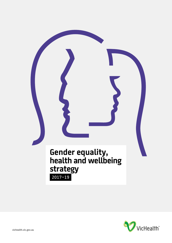

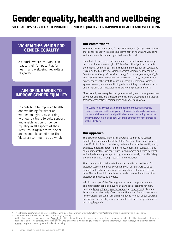# **Gender equality, health and wellbeing**

**VICHEALTH'S STRATEGY TO PROMOTE GENDER EQUALITY FOR IMPROVED HEALTH AND WELLBEING**

### **VICHEALTH'S VISION FOR GENDER EQUALITY**

A Victoria where everyone can realise their full potential for health and wellbeing, regardless of gender.

#### **AIM OF OUR WORK TO IMPROVE GENDER EQUALITY**

To contribute to improved health and wellbeing for Victorian women and girls\* , by working with our partners to build support and enable action for gender equality in all aspects of their lives, resulting in health, social and economic benefits for the Victorian community as a whole.

#### **Our commitment**

The [VicHealth Action Agenda for Health Promotion \(2016-19\)](https://www.vichealth.vic.gov.au/actionagenda) recognises that <u>gender equality</u>† is a critical determinant of health and wellbeing and a fundamental human right that benefits us all.

Our efforts to increase gender equality currently focus on improving outcomes for women and girls.‡ This reflects the significant harm to their mental and physical health that gender inequality can cause, and its role as the key driver of violence against women. *Gender equality, health and wellbeing: VicHealth's strategy to promote gender equality for improved health and wellbeing 2017–19* (the Strategy) recognises our experience over the past 15 years in primary prevention of violence against women, and our continuing role in building the evidence base and integrating our knowledge into statewide prevention efforts.

More broadly, we recognise that gender equality and the empowerment of women and girls are critical to the health and wellbeing of individuals, families, organisations, communities and society as a whole.

The World Health Organization defines gender equality as 'equal chances or opportunities for groups of women and men to access and control social, economic and political resources, including protection under the law'. VicHealth aligns with this definition for the purposes of this Strategy.

#### **Our approach**

This Strategy outlines VicHealth's approach to improving gender equality for the remainder of the Action Agenda's three-year cycle, to June 2019. It builds on our strong partnerships with the health, sport, business, media, research, human rights, education, justice, arts and community sectors. We contribute to government and cross-sectoral action by delivering a range of programs and campaigns, and building the evidence base through research and evaluation.

The Strategy will contribute to improved health and wellbeing for Victorian women and girls, by working with our partners to build support and enable action for gender equality in all aspects of their lives. This will result in health, social and economic benefits for the Victorian community as a whole.

Within the scope of this Strategy, our actions to improve women's and girls' health can also have health and social benefits for men, boys and trans, intersex, gender diverse and non-binary Victorians. Across our broader body of work under the Action Agenda, gender is a key consideration. When designing initiatives for each of our strategic imperatives, we identify groups of people that have the greatest need, including by gender.

\* This Strategy uses 'women' to represent those who identify as women or girls. Similarly, 'men' refers to those who identify as men or boys.

Underlined terms are defined on pages 17 to 18 (Key terms).

<sup>‡</sup> VicHealth recognises that some people's gender identities do not fit into binary categories of male or female, or do not reflect the biological sex they were assigned at birth. This Strategy focuses on people who identify as a woman or girl, while recognising that trans, gender diverse, non-binary and some intersex people encounter greater barriers to equality.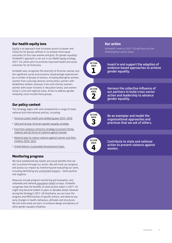#### **Our health equity lens**

Equity is an approach that increases access to power and resources for groups without it, to achieve more equal outcomes (in this case women and girls, for gender equality). VicHealth's approach is set out in our *Health equity strategy 2017–19*, which aims to promote improved health and social outcomes for all Victorians.

VicHealth also recognises the diversity of Victorian women and the significant social and economic disadvantage experienced by a number of groups of women, including Aboriginal women; women from culturally diverse communities; women with disabilities; lesbian, bisexual, trans and intersex women; women with lower incomes or education levels; and women living in rural and regional areas. Action to address gender inequality must include these groups.

#### **Our policy context**

This Strategy aligns with and complements a range of state, national and international policies, including:

- [Victorian public health and wellbeing plan 2015–2019](https://www2.health.vic.gov.au/about/health-strategies/public-health-wellbeing-plan)
- [Safe and strong: Victoria's gender equality strategy](http://www.vic.gov.au/women/gender-equality/a-victorian-gender-equality-strategy.html)
- [Free from violence: Victoria's strategy to prevent family](http://www.vic.gov.au/familyviolence/prevention-strategy.html)  [violence and all forms of violence against women](http://www.vic.gov.au/familyviolence/prevention-strategy.html)
- [National plan to reduce violence against women and their](https://www.dss.gov.au/women/programs-services/reducing-violence/the-national-plan-to-reduce-violence-against-women-and-their-children-2010-2022)  [children 2010–2022](https://www.dss.gov.au/women/programs-services/reducing-violence/the-national-plan-to-reduce-violence-against-women-and-their-children-2010-2022)
- [United Nations Sustainable Development Goals](http://www.un.org/sustainabledevelopment/sustainable-development-goals/).

#### **Monitoring progress**

We have established key health and social benefits that we aim to achieve through our action. We will track our progress and assess our impact by monitoring and evaluating our work, including identifying any unintended impacts – both positive and negative.

Measures include program monitoring and evaluation, and statewide and national population health surveys. VicHealth recognises that the benefits of some actions taken in 2017–19 might only become evident in years or decades ahead. However during the Strategy's 2017–19 timeframe, we can track the progress and effectiveness of specific actions, and observe any early changes in health, behaviour, attitudes and structures. We will share what we learn, to enhance design and delivery of other gender equality initiatives.

#### **Our action**

VicHealth's work in 2017–19 will focus on the following four action areas:



**evidence-based approaches to achieve gender equality.**

**Harness the collective influence of our partners to build cross-sector action and leadership to advance gender equality.**

**Be an exemplar and model the organisational approaches and practices that we ask of others.**



**Contribute to state and national action to prevent violence against women.**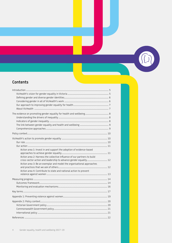### **Contents**

| The evidence on promoting gender equality for health and wellbeing 8                                                                                                                                           |  |
|----------------------------------------------------------------------------------------------------------------------------------------------------------------------------------------------------------------|--|
|                                                                                                                                                                                                                |  |
| Action area 1: Invest in and support the adoption of evidence-based<br>Action area 2: Harness the collective influence of our partners to build                                                                |  |
| cross-sector action and leadership to advance gender equality 12<br>Action area 3: Be an exemplar and model the organisational approaches<br>Action area 4: Contribute to state and national action to prevent |  |
|                                                                                                                                                                                                                |  |
|                                                                                                                                                                                                                |  |
|                                                                                                                                                                                                                |  |
|                                                                                                                                                                                                                |  |
|                                                                                                                                                                                                                |  |

 $\sqrt{1}$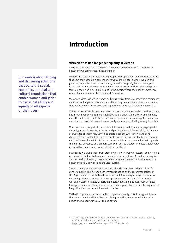### **Introduction**

#### **VicHealth's vision for gender equality in Victoria**

VicHealth's vision is a Victoria where everyone can realise their full potential for health and wellbeing, regardless of gender.

We envisage a Victoria in which young people grow up without gendered social norms† that limit their schooling, careers or everyday life. A Victoria where women and girls see people like themselves working in a wide range of jobs and leading our major institutions. Where women and girls are respected in their relationships and families, their workplaces, online and in the media. Where their achievements are celebrated and seen as vital to our state's success.

We want a Victoria in which women and girls live free from violence. Where community members and organisations understand how they can prevent violence, and where they actively work to empower and support women to reach their full potential.

VicHealth sees a Victoria that celebrates the diversity of women and girls – their cultural background, religion, age, gender identity, sexual orientation, ability, aboriginality, and other differences. A Victoria that ensures inclusion, by removing discrimination and other barriers that prevent women and girls from participating equally in society.

When we meet this goal, the benefits will be widespread. Dismantling rigid gender stereotypes and increasing inclusion and participation will benefit girls and women at all stages of their lives, as well as create a society where men's and boys' choices are not limited by gendered social norms. They will be able to move beyond outdated ideas of what it is to be a man, and will live in a community that supports them if they choose to be a primary caregiver, pursue a career in a field traditionally occupied by women, show vulnerability or seek help.

Businesses will also benefit from greater diversity in their workplaces, and Victoria's economy will be boosted as more women join the workforce. As well as saving lives and decreasing ill health, preventing violence against women will reduce costs to health and social services and the legal system.

There is an unprecedented opportunity in Victoria to achieve a shared vision for gender equality. The Victorian Government is acting on the recommendations of the Royal Commission into Family Violence, and developing strategies to improve gender equality and prevent violence against women and girls. Organisations working in women's health, sport, the media, education, business, human rights, local government and health services have made great strides in identifying areas of inequality, their causes and how to tackle them.

VicHealth is proud of our contribution to gender equality. This Strategy reinforces that commitment and identifies our role in promoting gender equality for better health and wellbeing in 2017–19 and beyond.

- \* This Strategy uses 'women' to represent those who identify as women or girls. Similarly, 'men' refers to those who identify as men or boys.
- † Underlined terms are defined on pages 17 to 18 (Key terms).

<span id="page-4-0"></span>**Our work is about finding and delivering solutions that build the social, economic, political and cultural foundations that enable women and girls**\* **to participate fully and equally in all aspects of their lives.**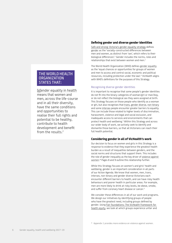#### <span id="page-5-0"></span>THE WORLD HEALTH ORGANIZATION STATES THAT:

[g]ender equality in health means that women and men, across the life-course and in all their diversity, have the same conditions and opportunities to realise their full rights and potential to be healthy, contribute to health development and benefit from the results<sup>2</sup>

#### **Defining gender and diverse gender identities**

[Safe and strong: Victoria's gender equality strategy](http://www.vic.gov.au/women/gender-equality/a-victorian-gender-equality-strategy.html) defines gender as the 'socially-constructed differences between men and women, as distinct from 'sex', which refers to their biological differences'.<sup>1</sup> Gender includes the norms, roles and relationships that exist between women and men.<sup>2</sup>

The World Health Organization (WHO) defines gender equality as the 'equal chances or opportunities for groups of women and men to access and control social, economic and political resources, including protection under the law'.3 VicHealth aligns with WHO's definitions for the purposes of this Strategy.

#### Recognising diverse gender identities

It is important to recognise that some people's gender identities do not fit into the binary categories of woman/girl or man/boy, or do not reflect the biological sex they were assigned at birth. This Strategy focuses on those people who identify as a woman or girl, but also recognises that trans, gender diverse, non-binary and some intersex people encounter greater barriers to equality. This can include those related to higher levels of discrimination, harassment, violence and legal and social exclusion, and inadequate access to services and environments that can protect health and wellbeing.4 Within this Strategy and across our wider body of work, we actively seek to identify and dismantle those barriers, so that all Victorians can reach their full health potential.

#### **Considering gender in all of VicHealth's work**

Our decision to focus on women and girls in this Strategy is a response to evidence that they experience the greatest health burden as a result of inequalities between genders, and the social norms and structures that support them. This includes the role of gender inequality as the key driver of violence against women.\* Pages 8 and 9 outline this relationship further.

While this Strategy focuses on women's and girls' health and wellbeing, gender is an important consideration in all parts of our Action Agenda. We know that women, men, trans, intersex, non-binary and gender diverse Victorians each encounter different barriers to health, and can have risky health behaviours and poorer health in particular areas. For example, men are more likely to drink at risky levels, be obese, smoke, and suffer from coronary heart disease or cancer.<sup>5</sup>

We consider these differences in all of our work and programs. We design our initiatives by identifying groups of people who have the greatest need, including groups defined by gender. Using [Fair foundations: The VicHealth framework for](https://www.vichealth.vic.gov.au/media-and-resources/publications/the-vichealth-framework-for-health-equity)  [health equity](https://www.vichealth.vic.gov.au/media-and-resources/publications/the-vichealth-framework-for-health-equity)*,* we look at which groups experience unfair and

\* Appendix 1 provides more evidence on violence against women.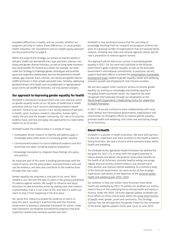<span id="page-6-0"></span>avoidable differences in health, and we consider whether our programs will help to reduce these differences, or cause greater health inequities. Fair Foundations and our health equity approach are discussed further on page 8.

Within the scope of this Strategy, our actions to improve women's and girls' health can also benefit men, boys and trans, intersex, nonbinary and gender diverse Victorians, as well as bring wider economic and social benefits for Victoria as a whole. For example, our work under this Strategy to challenge gender stereotypes and promote equal and respectful relationships also has the potential to benefit lesbian, gay, bisexual, trans, intersex, non-binary and gender diverse (LGBTI) Victorians in their private and public lives. Similarly, addressing gendered drivers of ill health such as problematic or rigid gendered social norms will benefit all Victorians, not only women and girls.

#### **Our approach to improving gender equality for health**

VicHealth's contribution to government and cross-sectoral action on gender equality builds on our 30 years of leadership in health promotion and our track record in developing evidence-based practice.6 Central to our success is our strong network of partners in health, sport, business, research, education, human rights, media, the arts and the broader community. Our role is to build the evidence base, and test and apply new approaches to create better health for all Victorians.

VicHealth builds the evidence base in a variety of ways:

- Investigator-driven research to identify and address gaps in knowledge about what works in increasing gender equality
- Commissioned research to source additional evidence and test promising new ideas, including program evaluations
- Knowledge translation to integrate these findings into policy and practice.

An important part of this work is building partnerships with the research sector and the policymakers and practitioners who will use the evidence, and who also contribute to the evidence base through their own work.

Gender equality has long been a core part of our work. Most notable is our role over the past 15 years in the primary prevention of violence against women. We sought to influence and equip Victorians to take preventive action by making clear that violence is preventable, that it is not a fact of life, and that it is within our reach to stop it from happening in the first place.

Our world-first research provided the evidence on which to base this work, resulting in a partnership with the Victorian Government to develop a statewide framework for action. Under that framework we designed and delivered programs that built respectful relationships between women and men.6

VicHealth is now working to ensure that the vast body of knowledge resulting from our research and programs informs the work of a growing number of organisations that are tackling family violence, including new state and national agencies whose specific role is prevention of violence against women.

This approach will be vital to our success in promoting gender equality in 2017–19. Our work will contribute to the Victorian Government's goals in gender equality, as well as the Australian Government's international commitments. In particular, we will support Australia's efforts to achieve the [United Nations Sustainable](http://www.un.org/sustainabledevelopment/sustainable-development-goals/)  [Development Goals](http://www.un.org/sustainabledevelopment/sustainable-development-goals/) related to gender equality, health and wellbeing, economic growth and employment, and inclusive societies.

We will also support other countries' actions to achieve gender equality, by sharing our knowledge and building capacity in the global health promotion sector. Our expertise has been recognised internationally through our designation as the [World Health Organization Collaborating Centre for Leadership](http://www.vichealth.vic.gov.au/whocc)  [in Health Promotion.](http://www.vichealth.vic.gov.au/whocc)

In 2017–19 we will continue to work collaboratively with local, state, federal and international governments, organisations and communities to strengthen efforts to improve gender equality, promote health and wellbeing, and create real and lasting change for all Victorians.

#### **About VicHealth**

VicHealth is a pioneer in health promotion. We work with partners to discover, implement and share solutions to the health problems facing Victorians. We seek a Victoria where everyone enjoys better health and wellbeing.

The *VicHealth Action Agenda for Health Promotion* has defined five key goals for 2013–23, in areas with the largest potential to reduce disease and deliver the greatest measurable benefits for the health of all Victorians: promote healthy eating; encourage regular physical activity; prevent tobacco use; prevent harm from alcohol; and improve mental wellbeing. As a statutory body of the Victorian Government, our work across all five strategic imperatives contributes to the objectives of the [Victorian public](https://www2.health.vic.gov.au/about/health-strategies/public-health-wellbeing-plan)  [health and wellbeing plan 2015–2019](https://www2.health.vic.gov.au/about/health-strategies/public-health-wellbeing-plan).

Our ambition is that one million more Victorians have better health and wellbeing by 2023. To achieve our ambition our actions need to focus on the underlying forces driving health and equity in Victoria. Under the 2016–19 Action Agenda update, VicHealth will focus efforts on three critical areas where the social determinants of health meet: gender, youth and community. This Strategy outlines how we will approach the gender theme for the remainder of the Action Agenda update's three-year cycle, to June 2019.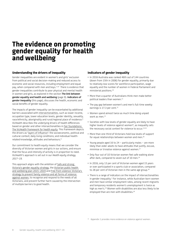### <span id="page-7-0"></span>**The evidence on promoting gender equality for health and wellbeing**

#### **Understanding the drivers of inequality**

Gender inequalities are evident in women's and girls' exclusion from political and social decision-making and reduced access to economic and social resources, including employment and equal pay, when compared with men and boys.<sup>7,1,8</sup> There is evidence that gender inequalities contribute to poor physical and mental health in women and girls, as explored in the section **The link between gender equality and health and wellbeing** (page 9). **Indicators of gender inequality** (this page), discusses the health, economic and social benefits of gender equality.

The impacts of gender inequality can be exacerbated by additional barriers associated with intersectionalities, such as lower income, occupation type, lower education levels, gender identity, sexuality, race/ethnicity, aboriginality and rural/regional place of residence.9 VicHealth describes the underlying drivers of health differences based on gender and other intersectionalities in [Fair foundations:](https://www.vichealth.vic.gov.au/media-and-resources/publications/the-vichealth-framework-for-health-equity)  [The VicHealth framework for health equity](https://www.vichealth.vic.gov.au/media-and-resources/publications/the-vichealth-framework-for-health-equity). This framework depicts the drivers as 'layers of influence': the socioeconomic, political and cultural context; daily living conditions; and individual healthrelated knowledge, attitudes and behaviours.9

Our commitment to health equity means that we consider the diversity of Victorian women and girls in our actions, and ensure that the focus and intensity of activity is in proportion to need. VicHealth's approach is set out in our *Health equity strategy 2017–19.* 

This approach aligns with the ambition of [Safe and strong:](http://www.vic.gov.au/women/gender-equality/a-victorian-gender-equality-strategy.html)  [Victoria's gender equality strategy,](http://www.vic.gov.au/women/gender-equality/a-victorian-gender-equality-strategy.html) the [Victorian public health](https://www2.health.vic.gov.au/about/health-strategies/public-health-wellbeing-plan)  [and wellbeing plan 2015–2019](https://www2.health.vic.gov.au/about/health-strategies/public-health-wellbeing-plan) and [Free from violence: Victoria's](http://www.vic.gov.au/familyviolence/prevention-strategy.html)  [strategy to prevent family violence and all forms of violence](http://www.vic.gov.au/familyviolence/prevention-strategy.html)  [against women](http://www.vic.gov.au/familyviolence/prevention-strategy.html), to recognise and respond to the needs of all Victorians, and prevent further harm caused by the intersection of multiple barriers to good health.

#### **Indicators of gender inequality**

- In 2016 Australia was ranked 46th out of 144 countries (down from 15th in 2006) for gender equality, primarily due to relatively low scores for workforce participation, wage equality and the number of women in Federal Parliament and ministerial positions.10
- More than a quarter of Australians think men make better political leaders than women.<sup>11</sup>
- The pay gap between women's and men's full-time weekly earnings is 17.3 per cent.<sup>12</sup>
- Women spend almost twice as much time doing unpaid work as men.<sup>13</sup>
- Societies with low levels of gender equality are likely to have higher levels of violence against women\*, as inequality sets the necessary social context for violence to occur.<sup>14,15</sup>
- More than one-third of Victorians hold low levels of support for equal relationships between women and men.<sup>16</sup>
- Young people aged 16 to 24 particularly males are more likely than older adults to have attitudes that justify, excuse, minimise or trivialise violence against women.17
- Only four out of 10 Victorian women feel safe walking alone after dark, compared to seven out of 10 men.<sup>16</sup>
- In 2016, only 13 per cent of Victorian women aged 15 years or over participated in a sports club or association, compared to 28 per cent of Victorian men in the same age group.<sup>18</sup>
- There is a range of indicators on the impact of intersectionalities in gender inequality.<sup>1</sup> For instance, while Australian-born women and men have similar employment rates, among recent migrants and temporary residents women's unemployment is twice as high as men's.19 Women with disabilities are also less likely to be employed than are men with disabilities.<sup>20</sup>

\* Appendix 1 provides more evidence on violence against women.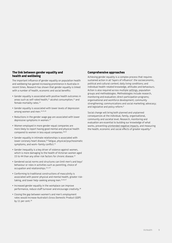#### <span id="page-8-0"></span>**The link between gender equality and health and wellbeing**

The important influence of gender equality on population health and wellbeing has gained increasing prominence in Australia in recent times. Research has shown that gender equality is linked with a number of health, economic and social benefits:

- Gender equality is associated with positive health outcomes in areas such as self-rated health, $^{21}$  alcohol consumption, $^{22}$  and female mortality rates.<sup>23</sup>
- Gender equality is associated with lower levels of depression among women and men.<sup>24,25,26</sup>
- Reductions in the gender wage gap are associated with lower depressive symptoms in women.<sup>27</sup>
- Women employed in more gender-equal companies are more likely to report having good mental and physical health compared to women in less equal companies.28,29
- Gender equality in intimate relationships is associated with lower coronary heart disease,<sup>30</sup> fatigue, physical/psychosomatic symptoms, and work–family conflict.<sup>31</sup>
- Gender inequality is a key driver of violence against women, which is more damaging to the health of Victorian women aged 15 to 44 than any other risk factors for chronic disease.<sup>32</sup>
- Gendered social norms and structures can limit men's and boys' behaviour or roles in activities such as parenting, choice of occupation and relationships.<sup>33,1,34</sup>
- Conforming to traditional constructions of masculinity is associated with poorer physical and mental health, greater risktaking, and lower help-seeking among men.<sup>35,36,37</sup>
- Increased gender equality in the workplace can improve performance, reduce staff turnover and encourage creativity.38
- Closing the gap between women's and men's employment rates would increase Australia's Gross Domestic Product (GDP) by 11 per cent.<sup>39</sup>

#### **Comprehensive approaches**

Achieving gender equality is a complex process that requires sustained action in all 'layers of influence': the socioeconomic, political and cultural context; daily living conditions; and individual health-related knowledge, attitudes and behaviours. Action is also required across multiple settings, population groups and methodologies. Methodologies include research, monitoring and evaluation; direct participation programs; organisational and workforce development; community strengthening; communications and social marketing; advocacy; and legislative and policy reform.6

Social change will bring both planned and unplanned consequences at the individual, family, organisational, community and societal level. Research, monitoring and evaluation are essential to building our knowledge of what works, preventing unintended negative impacts, and measuring the health, economic and social effects of greater equality.<sup>9</sup>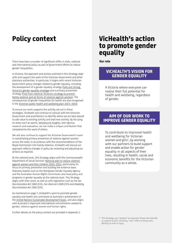### <span id="page-9-0"></span>**Policy context**

There have been a number of significant shifts in state, national and international policy as part of government efforts to reduce gender inequalities.

In Victoria, the approach and actions outlined in this Strategy align with and support the work of the Victorian Government and other statutory authorities. In particular, it aligns with recent Victorian Government policy changes related to gender equality, including the development of a gender equality strategy ([Safe and strong:](http://www.vic.gov.au/women/gender-equality/a-victorian-gender-equality-strategy.html)  [Victoria's gender equality strategy\)](http://www.vic.gov.au/women/gender-equality/a-victorian-gender-equality-strategy.html) and a primary prevention strategy [\(Free from violence: Victoria's strategy to prevent](http://www.vic.gov.au/familyviolence/prevention-strategy.html)  [family violence and all forms of violence against women\)](http://www.vic.gov.au/familyviolence/prevention-strategy.html). The consequences of gender inequalities for health are also recognised in the [Victorian public health and wellbeing plan 2015–2019.](https://www2.health.vic.gov.au/about/health-strategies/public-health-wellbeing-plan)

To ensure our work supports the activity set out in these strategies, VicHealth will continue to consult with the Victorian Government and practitioners to identify where we are best placed to add value to existing activity and lead new activity. By focusing on areas such as sports, behavioural insights, and rigorous research and evaluation, we can make a unique contribution that complements the work of others.

We will also continue to support the Victorian Government's work in coordinating primary prevention of violence against women across the state, in accordance with the recommendations of the Royal Commission into Family Violence. VicHealth will ensure our approach reflects changes in policy by reviewing and adjusting our actions as required.

At the national level, this Strategy aligns with the Commonwealth Department of Social Services' [National plan to reduce violence](https://www.dss.gov.au/women/programs-services/reducing-violence/the-national-plan-to-reduce-violence-against-women-and-their-children-2010-2022)  [against women and their children 2010–2022,](https://www.dss.gov.au/women/programs-services/reducing-violence/the-national-plan-to-reduce-violence-against-women-and-their-children-2010-2022) particularly its focus on primary prevention and building the evidence base. Statutory bodies such as the Workplace Gender Equality Agency and the Australian Human Rights Commission also lead policy and programs in gender equality at the national level. This Strategy aligns with their work, as well as with legislation such as the *Sex Discrimination Act 1984* (Cth), *Fair Work Act 2009* (Cth) and *Disability Discrimination Act 1992* (Cth).

As mentioned on page 7, VicHealth's work to promote gender equality and health will contribute to Australia's achievement of the [United Nations Sustainable Development Goals,](http://www.un.org/sustainabledevelopment/sustainable-development-goals/) and also aligns with Australia's important international commitments related to gender, violence against women and human rights.

Further details on the policy context are provided in Appendix 2.

### **VicHealth's action to promote gender equality**

**Our role**

#### **VICHEALTH'S VISION FOR GENDER EQUALITY**

A Victoria where everyone can realise their full potential for health and wellbeing, regardless of gender.

#### **AIM OF OUR WORK TO IMPROVE GENDER EQUALITY**

To contribute to improved health and wellbeing for Victorian women and girls\* , by working with our partners to build support and enable action for gender equality in all aspects of their lives, resulting in health, social and economic benefits for the Victorian community as a whole.

<sup>\*</sup> This Strategy uses 'women' to represent those who identify as women or girls. Similarly, 'men' refers to those who identify as men or boys.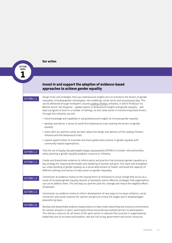<span id="page-10-0"></span>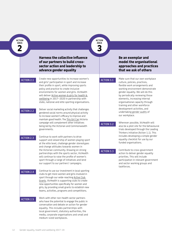<span id="page-11-0"></span>**ACTION AREA**

**2**

#### **Harness the collective influence of our partners to build crosssector action and leadership to advance gender equality**

Create new opportunities to increase women's ACTION 2.1 and girls' participation in sport and increase **ACTION 3.1**<br>ACTION 3.1 their profile in sport, while improving sports policy and practice to create inclusive environments for women and girls. VicHealth will deliver [Active women & girls for health &](https://www.vichealth.vic.gov.au/activewomen)  [wellbeing in](https://www.vichealth.vic.gov.au/activewomen) [2017–2020](https://www.vichealth.vic.gov.au/programs-and-projects/advancing-gender-equality-in-sport) in partnership with state, national and elite sporting organisations.

> Deliver social marketing activity that challenges gendered social norms around physical activity to increase women's efficacy to improve and maintain good health. The [This Girl Can](https://www.vichealth.vic.gov.au/programs-and-projects/this-girl-can-vic) Victoria campaign will complement other initiatives being led by the Victorian and Commonwealth governments.

ACTION 2.3

ACTION 2.2

Continue to work with partners to drive support and viewership of women playing sport at the elite level, challenge gender stereotypes and change attitudes towards women in the Victorian community. Drawing on strong partnerships with the sports sector, VicHealth will continue to raise the profile of women's sport through a range of initiatives and lend our support to our partners' campaigns.

ACTION 2.4

Continue to use our investment in local sporting clubs to get more women and girls involved in sport through our wide-reaching [Active Club](https://www.vichealth.vic.gov.au/search/active-club-grants)  [Grants](https://www.vichealth.vic.gov.au/search/active-club-grants). VicHealth is supporting clubs to create new opportunities specifically for women and girls, by providing small grants to establish new teams, activities, programs and competitions.

ACTION 2.5

Work with other non-health sector partners who have the potential to engage the public in conversation and debate on action for gender equality. This includes partnerships with local government, statutory authorities, the media, corporate organisations and small and medium-sized workplaces.

#### **Be an exemplar and model the organisational approaches and practices that we ask of others**

**ACTION AREA 3**

> Make sure that our own workplace culture, policies, practices, flexible work arrangements and working environment demonstrate gender equality. We will do this by periodically reviewing those elements, increasing internal organisational capacity through training and other workforce development activities, and undertaking gender audits of our workplace.

ACTION 3.2

Wherever possible, VicHealth will also be a pilot site for the behavioural trials developed through the Leading Thinkers initiative (Action 1.1). This includes developing a simple gender equality checklist for use by our funded organisations.

#### ACTION 3.3

Contribute to cross-government action to deliver gender equality priorities. This will include participation in relevant government and sector working groups and taskforces.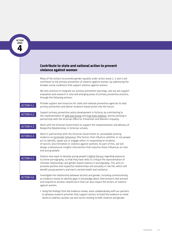<span id="page-12-0"></span>**ACTION AREA**

**4**

#### **Contribute to state and national action to prevent violence against women**

Many of the actions to promote gender equality under action areas 1, 2 and 3 will contribute to the primary prevention of violence against women, by addressing the broader social conditions that support violence against women.

We will continue to integrate our primary prevention learnings, and we will support evaluation and research in new and emerging areas of primary prevention practice, through the following actions:

ACTION 4.1

Provide support and resources for state and national prevention agencies to lead primary prevention and deliver evidence-based action into the future.

ACTION 4.2 Support primary prevention policy development in Victoria, by contributing to the implementation of [Safe and strong](http://www.vic.gov.au/women/gender-equality/a-victorian-gender-equality-strategy.html) and [Free from violence](http://www.vic.gov.au/familyviolence/prevention-strategy.html), and by working in partnership with the Victorian Office for Prevention and Women's Equality.

> Work with the Victorian Government to support the implementation and delivery of Respectful Relationships in Victorian schools.

ACTION 4.4

ACTION 4.3

Work in partnership with the Victorian Government to consolidate existing evidence on bystander behaviour (the factors that influence whether or not people act to identify, speak out or engage others in responding to incidents of sexism, discrimination or violence against women). As part of this, we will design a behavioural insights intervention that explores these influences on men and young people.

ACTION 4.5

Explore new ways to develop young people's digital literacy regarding exposure to online pornography, so that they have skills to critique the representation of intimate relationships and gender-based violence in pornography. This aims to promote positive and respectful relationships and sexuality in real life, which will benefit young women's and men's mental health and resilience.

ACTION 4.6

Investigate the relationship between alcohol and gender, including commissioning an evidence review to identify gaps in knowledge about interventions that prevent and respond to alcohol-related harm that can also impact the drivers of violence against women.

• Using the findings from the evidence review, work collaboratively with our partners to develop research priorities that support sectors to build the evidence on what works to address alcohol use and norms relating to both violence and gender.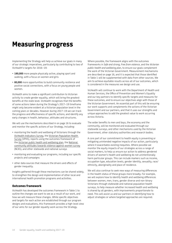### <span id="page-13-0"></span>**Measuring progress**

Implementing the Strategy will help us achieve our goals in many of our strategic imperatives, particularly by contributing to two of VicHealth's targets for 2016–19:

- **180,000** more people physically active, playing sport and walking, with a focus on women and girls
- **80,000** more opportunities to build community resilience and positive social connections, with a focus on young people and women.

VicHealth aims to make a significant contribution to Victorian activity to create gender equality, which will bring the greatest benefits at the state level. VicHealth recognises that the benefits of some actions taken during the Strategy's 2017–19 timeframe might only become evident at a Victorian population level in the coming years or decades. However during 2017–19 we can track the progress and effectiveness of specific actions, and identify any early changes in health, behaviour, attitudes and structures.

We will use the mechanisms described in on page 16 to evaluate and monitor the specific actions of our Strategy, including:

- monitoring the health and wellbeing of Victorians through the [VicHealth Indicators Survey](https://www.vichealth.vic.gov.au/programs-and-projects/vichealth-indicators-survey-2015), the [Victorian Population Health](https://www2.health.vic.gov.au/public-health/population-health-systems/health-status-of-victorians/survey-data-and-reports/victorian-population-health-survey/victorian-population-health-survey-2015)  [Survey](https://www2.health.vic.gov.au/public-health/population-health-systems/health-status-of-victorians/survey-data-and-reports/victorian-population-health-survey/victorian-population-health-survey-2015) (VPHS), reports using the outcomes framework of the [Victorian public health and wellbeing plan](https://www2.health.vic.gov.au/about/health-strategies/public-health-wellbeing-plan), the [National](https://www.dss.gov.au/about-the-department/programs-services/national-community-attitudes-survey)  [community attitudes towards violence against women survey](https://www.dss.gov.au/about-the-department/programs-services/national-community-attitudes-survey) (NCAS), and other statewide and national surveys
- monitoring and evaluating our programs, including our specific projects and campaigns
- other data sources that measure the drivers and effects of gender inequality.

Insights gathered through these mechanisms can be shared widely, to strengthen the design and implementation of other local and international health promotion programs and activities.

#### **Outcomes framework**

VicHealth has developed the outcomes framework in Table 1 to outline the changes we want to see as a result of our work, and how we will measure these changes. While specific objectives and targets for each action are established through our program designs and evaluations, this framework provides a high-level view of our aims for our gender equality work across the Strategy.

Where possible, the framework aligns with the outcomes frameworks in *Safe and strong, Free from violence*, and the *Victorian public health and wellbeing plan*, to ensure our goals complement the work of the Victorian Government. Measurement mechanisms are described on page 16, and it is expected that those identified in Table 1 will be supplemented with data from other sources. We aim to achieve equitable results across all of our outcomes, which is considered in the measures we design and use.

VicHealth will continue to work with the Department of Health and Human Services, the Office of Prevention and Women's Equality and our key partners to identify specific targets and measures for these outcomes, and to ensure our objectives align with those of the Victorian Government. An essential part of this will be ensuring our work supports and complements the actions of the Victorian Government and our partners, and that it uses our strengths and unique approaches to add the greatest value to work occurring across Victoria.

The wider benefits to men and boys, the economy and the community, will be monitored and evaluated through our statewide surveys, and other mechanisms used by the Victorian Government, other statutory authorities and research bodies.

A core part of our commitment to health equity is preventing or mitigating unintended negative impacts of our action, particularly where it exacerbates existing inequities. Where possible we monitor the equity impacts of our strategies across a range of social markers, to help us ensure our action to address gendered drivers of women's health and wellbeing do not unintentionally harm particular groups. This can include markers such as income, occupation type, education levels, gender identity, sexuality, race/ ethnicity, aboriginality and place of residence.

We will also continue to seek new ways of measuring differences in the health status of these groups more broadly. For example, we will explore how to identify health and wellbeing differences between women, men, trans, gender diverse and non-binary Victorians through statewide and national population health surveys, to help measure whether increased health and wellbeing is shared by all genders, with improvements proportionate to need. This will assist us and our partners in identifying how to adjust strategies or where targeted approaches are required.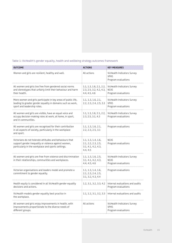#### Table 1: VicHealth's gender equality, health and wellbeing strategy outcomes framework

| <b>OUTCOME</b>                                                                                                                                                         | <b>ACTIONS</b>                                                                | <b>KEY MEASURES</b>                                               |
|------------------------------------------------------------------------------------------------------------------------------------------------------------------------|-------------------------------------------------------------------------------|-------------------------------------------------------------------|
| Women and girls are resilient, healthy and well.                                                                                                                       | All actions                                                                   | VicHealth Indicators Survey<br><b>VPHS</b><br>Program evaluations |
| All women and girls live free from gendered social norms<br>and stereotypes that unfairly limit their behaviour and harm<br>their health.                              | 1.1, 1.3, 1.6, 2.1, 2.2,<br>2.3, 2.5, 3.2, 4.2, 4.3,<br>4.4, 4.5, 4.6         | VicHealth Indicators Survey<br><b>NCAS</b><br>Program evaluations |
| More women and girls participate in key areas of public life,<br>leading to greater gender equality in domains such as work,<br>sport and leadership roles.            | 1.1, 1.3, 1.6, 2.1,<br>2.2, 2.3, 2.4, 2.5, 3.1                                | VicHealth Indicators Survey<br><b>VPHS</b><br>Program evaluations |
| All women and girls are visible, have an equal voice and<br>occupy decision-making roles at work, at home, in sport,<br>and in communities.                            | 1.1, 1.3, 1.6, 2.1, 2.2,<br>2.3, 2.5, 3.1, 4.3                                | VicHealth Indicators Survey<br>Program evaluations                |
| All women and girls are recognised for their contribution<br>in all aspects of society, particularly in the workplace<br>and sport.                                    | 1.1, 1.3, 1.6, 2.1,<br>2.2, 2.3, 2.5, 3.1                                     | Program evaluations                                               |
| Victorians do not tolerate attitudes and behaviours that<br>support gender inequality or violence against women,<br>particularly in the workplace and sports settings. | 1.1, 1.3, 1.4, 1.6,<br>2.1, 2.2, 2.3, 2.5,<br>3.1, 4.1, 4.2, 4.3,<br>4.4, 4.5 | <b>NCAS</b><br>Program evaluations                                |
| All women and girls are free from violence and discrimination<br>in their relationships, communities and workplaces.                                                   | 1.1, 1.3, 1.6, 2.5,<br>3.1, 4.1, 4.2, 4.3,<br>4.4, 4.5, 4.6                   | VicHealth Indicators Survey<br><b>NCAS</b><br>Program evaluations |
| Victorian organisations and leaders model and promote a<br>commitment to gender equality.                                                                              | 1.1, 1.3, 1.4, 1.6,<br>2.1, 2.3, 2.4, 2.5,<br>3.1, 3.2, 4.3, 4.4              | Program evaluations                                               |
| Health equity is considered in all VicHealth gender equality<br>decisions and actions.                                                                                 | 1.2, 3.1, 3.2, 3.3, 4.2                                                       | Internal evaluations and audits<br>Program evaluations            |
| VicHealth models gender equality best practice in<br>the workplace.                                                                                                    | 1.1, 1.2, 3.1, 3.2, 3.3                                                       | Internal evaluations and audits                                   |
| All women and girls enjoy improvements in health, with<br>improvements proportionate to the diverse needs of<br>different groups.                                      | All actions                                                                   | VicHealth Indicators Survey<br><b>VPHS</b><br>Program evaluations |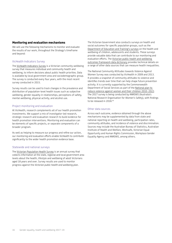#### <span id="page-15-0"></span>**Monitoring and evaluation mechanisms**

We will use the following mechanisms to monitor and evaluate the results of our work, throughout the Strategy's timeframe and beyond:

#### VicHealth Indicators Survey

The [VicHealth Indicators Survey](https://www.vichealth.vic.gov.au/programs-and-projects/vichealth-indicators-survey-2015) is a Victorian community wellbeing survey that measures individual and community health and wellbeing, to inform decisions about public health priorities. Data is available by local government area and sociodemographic group. The survey is conducted every four years, with the most recent survey conducted in 2015.

Survey results can be used to track changes in the prevalence and distribution of population-level health issues such as subjective wellbeing, gender equality in relationships, perceptions of safety, mental wellbeing, physical activity, and alcohol use.

#### Project monitoring and evaluation

At VicHealth, research complements all of our health promotion investments. We support a mix of investigator-led research, strategic research and evaluation research to build evidence for health promotion interventions. Monitoring and evaluation can be elements of specific projects, or separate components of a broader program.

As well as helping to measure our progress and refine our action, our monitoring and evaluation efforts enable VicHealth to contribute significantly to the wider health promotion evidence base.

#### Statewide and national surveys

The [Victorian Population Health Survey](https://www2.health.vic.gov.au/public-health/population-health-systems/health-status-of-victorians/survey-data-and-reports/victorian-population-health-survey) is an annual survey that collects information at the state, regional and local government area levels about the health, lifestyle and wellbeing of adult Victorians aged 18 years and over. Survey results are used to monitor progress against the *Victorian public health and wellbeing plan*.

The Victorian Government also conducts surveys on health and social outcomes for specific population groups, such as the [Department of Education and Training's surveys](http://www.education.vic.gov.au/about/research/Pages/newdata.aspx) on the health and wellbeing of children, adolescents and students. These surveys provide valuable data that can contribute to our monitoring and evaluation efforts. The [Victorian public health and wellbeing](https://www2.health.vic.gov.au/about/health-strategies/public-health-wellbeing-plan)  [outcomes framework data dictionary](https://www2.health.vic.gov.au/about/health-strategies/public-health-wellbeing-plan) provides technical details on a range of other data sources that can measure health inequalities.

The National Community Attitudes towards Violence Against Women Survey was conducted by VicHealth in 2009 and 2013. It provides a snapshot of community attitudes to violence and identifies trends over time that can help shape future prevention activity. It is currently supported by the Commonwealth Department of Social Services as part of the [National plan to](https://www.dss.gov.au/women/programs-services/reducing-violence/the-national-plan-to-reduce-violence-against-women-and-their-children-2010-2022)  [reduce violence against women and their children 2010–2022](https://www.dss.gov.au/women/programs-services/reducing-violence/the-national-plan-to-reduce-violence-against-women-and-their-children-2010-2022). The 2017 survey is being conducted by ANROWS (Australia's National Research Organisation for Women's Safety), with findings to be released in 2018.40

#### Other data sources

Across each outcome, evidence obtained through the above mechanisms may be supplemented by data from state and national reporting on health and wellbeing, participation rates, community attitudes, and incidence of violence and discrimination. Sources may include the Australian Bureau of Statistics, Australian Institute of Health and Welfare, Worksafe, Victorian Equal Opportunity and Human Rights Commission, Workplace Gender Equality Agency and ANROWS, among others.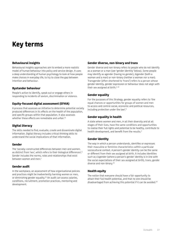## **Key terms**

#### **Behavioural insights**

Behavioural insights approaches aim to embed a more realistic model of human behaviour into policy and service design. It uses a deep understanding of human psychology to look at how people make choices in everyday life, to try to close the gap between intention and behaviour.

#### **Bystander behaviour**

People's action to identify, speak out or engage others in responding to incidents of sexism, discrimination or violence.

#### **Equity-focused digital assessment (EFHIA)**

A process that assesses an initiative to determine potential socially produced differences in its effects on the health of the population, and specific groups within that population. It also assesses whether these effects are remediable and unfair.<sup>41</sup>

#### **Digital literacy**

The skills needed to find, evaluate, create and disseminate digital information. Digital literacy includes critical thinking skills to understand the social implications of that information.

#### **Gender**

The 'socially-constructed differences between men and women, as distinct from 'sex', which refers to their biological differences'.1 Gender includes the norms, roles and relationships that exist between women and men.<sup>2</sup>

#### **Gender audit**

In the workplace, an assessment of how organisational policies and practices might be inadvertently harming women or men, or diminishing gender equality.42 An audit can assess salaries, conditions, recruitment, promotion practices, mentoring and development.

#### **Gender diverse, non-binary and trans**

Gender diverse and non-binary refers to people who do not identify as a woman or a man (see 'gender identity' below). Some people may identify as agender (having no gender), bigender (both a woman and a man) or non-binary (neither a woman nor a man). Transgender (often shortened to 'trans') refers to a person whose gender identity, gender expression or behaviour does not align with their sex assigned at birth. $1,43$ 

#### **Gender equality**

For the purposes of this Strategy, gender equality refers to 'the equal chances or opportunities for groups of women and men to access and control social, economic and political resources, including protection under the law'.3

#### **Gender equality in health**

A state where women and men, in all their diversity and at all stages of their lives, have the same conditions and opportunities to realise their full rights and potential to be healthy, contribute to health development, and benefit from the results.<sup>2</sup>

#### **Gender identity**

The way in which a person understands, identifies or expresses their masculine or feminine characteristics within a particular sociocultural context. A person's gender identity can be the same or different from their sex assigned at birth. It includes identities such as cisgender (where a person's gender identity is in line with the social expectations of their sex assigned at birth), trans, gender diverse and non-binary.43

#### **Health equity**

The notion that everyone should have a fair opportunity to attain their full health potential, and that no one should be disadvantaged from achieving this potential if it can be avoided.<sup>44</sup>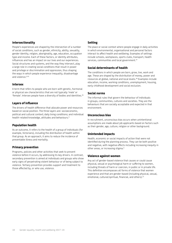#### **Intersectionality**

People's experiences are shaped by the intersection of a number of social conditions, such as gender, ethnicity, ability, sexuality, gender identity, religion, aboriginality, age, education, occupation type and income. Each of these factors, or identity attributes, influences and has an impact on our lives and our experiences. Social structures and systems, and the way they intersect, play a large role in creating social conditions that result in power and privilege or discrimination and oppression, thus shaping the ways in which people experience inequality, disadvantage and violence. 9.45

#### **Intersex**

A term that refers to people who are born with genetic, hormonal or physical sex characteristics that are not typically 'male' or 'female'. Intersex people have a diversity of bodies and identities.46

#### **Layers of influence**

The drivers of health difference that allocate power and resources based on social position. The three layers are: socioeconomic, political and cultural context; daily living conditions; and individual health-related knowledge, attitudes and behaviours.9

#### **Population health**

As an outcome, it refers to the health of a group of individuals (for example, Victorians), including the distribution of health within that group. As an approach, it aims to reduce the incidence of preventable illness and mortality.

#### **Primary prevention**

Programs, policies and other activities that seek to prevent violence before it occurs, by addressing its key drivers. In contrast, secondary prevention is aimed at individuals and groups who show early signs of perpetrating violent behaviour or of being subject to violence. Tertiary prevention provides support and treatment to those affected by, or who use, violence.

#### **Setting**

The place or social context where people engage in daily activities in which environmental, organisational and personal factors interact to affect health and wellbeing. Examples of settings include schools, workplaces, sports clubs, transport, health services, communities and local government.<sup>47</sup>

#### **Social determinants of health**

The conditions in which people are born, grow, live, work and age. These are shaped by the distribution of money, power and resources at global, national and local levels.48 Examples include education, income, working conditions, unemployment, housing, early childhood development and social exclusion.

#### **Social norms**

The informal rules that govern the behaviour of individuals in groups, communities, cultures and societies. They are the behaviours that are socially acceptable and expected in that environment.

#### **Unconscious bias**

In recruitment, unconscious bias occurs when unintentional assumptions are made about job applicants based on factors such as their gender, age, culture, religion or other background.

#### **Unintended impacts**

Health, economic or social impacts of action that were not identified during the planning process. They can be both positive and negative, with negative effects including increasing inequity in other areas, or increasing stigma.<sup>9</sup>

#### **Violence against women**

Any act of gender-based violence that causes or could cause physical, sexual or psychological harm or suffering to women, including threats of harm or coercion, in public or in private life. This definition encompasses all forms of violence that women experience and that are gender-based (including physical, sexual, emotional, cultural/spiritual, financial, and others).15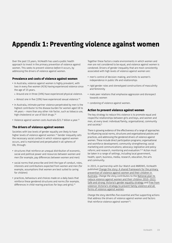## **Appendix 1: Preventing violence against women**

Over the past 15 years, VicHealth has used a public health approach to invest in the primary prevention of violence against women. This seeks to prevent violence *before* it occurs, by addressing the drivers of violence against women.

#### **Prevalence and costs of violence against women**

- In Australia, violence against women is highly prevalent, with two in every five women (41%) having experienced violence since the age of 15 years.
	- » Around one in three (34%) have experienced physical violence.
	- » Almost one in five (19%) have experienced sexual violence.<sup>49</sup>
- In Australia, intimate partner violence perpetrated by men is the highest contributor to the disease burden for women aged 18 to 44 years – more than any other risk factor, such as tobacco use, high cholesterol or use of illicit drugs.<sup>50</sup>
- Violence against women costs Australia \$21.7 billion a year.<sup>51</sup>

#### **The drivers of violence against women**

Societies with low levels of gender equality are likely to have higher levels of violence against women.14 Gender inequality sets the necessary social context in which violence against women occurs, and is maintained and perpetuated in all spheres of life, through:

- structures that reinforce an unequal distribution of economic, social and political power and resources between women and men (for example, pay differences between women and men)
- social norms that prescribe and limit the type of conduct, roles, interests and contributions expected from women and men (for example, assumptions that women are best suited to caring for children)
- practices, behaviours and choices made on a daily basis that reinforce these gendered structures and norms (for example, differences in child-rearing practices for boys and girls).<sup>15</sup>

Together these factors create environments in which women and men are not considered to be equal, and violence against women is condoned. Drivers of gender inequality that are most consistently associated with high levels of violence against women are:

- men's control of decision-making, and limits to women's independence in public life and relationships
- rigid gender roles and stereotyped constructions of masculinity and femininity
- male peer relations that emphasise aggression and disrespect towards women
- condoning of violence against women.

#### **Action to prevent violence against women**

The key strategy to reduce this violence is to promote equal and respectful relationships between girls and boys, and women and men, at every level: individual/family, organisational, community and societal.<sup>6</sup>

There is growing evidence of the effectiveness of a range of approaches to influencing social norms, structures and organisational policies and practices, and addressing the gendered drivers of violence against women. These include direct participation programs; organisational and workforce development; community strengthening; social marketing and communications; advocacy; legislative and policy reform; and research, monitoring and evaluation.6,15 Action must be taken in a range of settings, including local government, health, sport, business, media, research, education, the arts and community.

In 2015, in partnership with Our Watch and ANROWS, VicHealth published [Change the story: A shared framework for the primary](https://www.ourwatch.org.au/What-We-Do/National-Primary-Prevention-Framework)  [prevention of violence against women and their children in](https://www.ourwatch.org.au/What-We-Do/National-Primary-Prevention-Framework)  [Australia](https://www.ourwatch.org.au/What-We-Do/National-Primary-Prevention-Framework). *Change the story* contributes to the [National plan to](https://www.dss.gov.au/women/programs-services/reducing-violence/the-national-plan-to-reduce-violence-against-women-and-their-children-2010-2022)  [reduce violence against women and their children 2010–2022](https://www.dss.gov.au/women/programs-services/reducing-violence/the-national-plan-to-reduce-violence-against-women-and-their-children-2010-2022), [Safe and strong: Victoria's gender equality strategy](http://www.vic.gov.au/women/gender-equality/a-victorian-gender-equality-strategy.html) and [Free from](http://www.vic.gov.au/familyviolence/prevention-strategy.html)  [violence: Victoria's strategy to prevent family violence and all](http://www.vic.gov.au/familyviolence/prevention-strategy.html)  [forms of violence against women.](http://www.vic.gov.au/familyviolence/prevention-strategy.html)

*Change the story* identifies five essential and five supporting actions that address the drivers of violence against women and factors that reinforce violence against women<sup>15</sup>: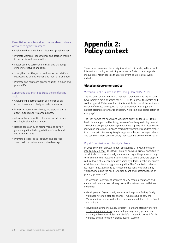#### Essential actions to address the gendered drivers of violence against women:

- Challenge the condoning of violence against women.
- Promote women's independence and decision-making in public life and relationships.
- Foster positive personal identities and challenge gender stereotypes and roles.
- Strengthen positive, equal and respectful relations between and among women and men, girls and boys.
- Promote and normalise gender equality in public and private life.

#### Supporting actions to address the reinforcing factors:

- Challenge the normalisation of violence as an expression of masculinity or male dominance.
- Prevent exposure to violence, and support those affected, to reduce its consequences.
- Address the intersections between social norms relating to alcohol and gender.
- Reduce backlash by engaging men and boys in gender equality, building relationship skills and social connections.
- Promote broader social equality and address structural discrimination and disadvantage.

## **Appendix 2: Policy context**

There have been a number of significant shifts in state, national and international policy as part of government efforts to reduce gender inequalities. Major policies that are relevant to VicHealth's work include:

#### **Victorian Government policy**

#### Victorian Public Health and Wellbeing Plan 2015–2019

The [Victorian public health and wellbeing plan](https://www2.health.vic.gov.au/about/health-strategies/public-health-wellbeing-plan) identifies the Victorian Government's main priorities for 2015–19 to improve the health and wellbeing of all Victorians. Its vision is 'a Victoria free of the avoidable burden of disease and injury, so that all Victorians can enjoy the highest attainable standards of health, wellbeing, and participation at every age'.52

The Plan names the health and wellbeing priorities for 2015–19 as healthier eating and active living; tobacco-free living; reducing harmful alcohol and drug use; improving mental health; preventing violence and injury; and improving sexual and reproductive health. It considers gender in all these priorities, recognising how gender roles, norms, expectations and behaviour affect people's ability to protect and promote their health.

#### Royal Commission into Family Violence

In 2015 the Victorian Government established a [Royal Commission](http://www.rcfv.com.au/)  [into Family Violence.](http://www.rcfv.com.au/) The Royal Commission was a critical opportunity for Victoria to confront family violence and begin the process of longterm change. This included a commitment to taking concrete steps to reduce levels of violence against women by addressing the key drivers of violence and improving gender equality. The Commission released its report in 2016, making 227 recommendations to tackle family violence, including the need for a significant and sustained focus on primary prevention.53

The Victorian Government accepted all 227 recommendations and committed to undertake primary prevention reforms and initiatives including:

- developing a 10-year family violence action plan – [Ending family](http://www.vic.gov.au/familyviolence/our-10-year-plan.html)  [violence: Victoria's plan for change](http://www.vic.gov.au/familyviolence/our-10-year-plan.html) – which outlines how the Victorian Government will act on the recommendations of the Royal Commission
- developing a gender equality strategy – [Safe and strong: Victoria's](http://www.vic.gov.au/women/gender-equality/a-victorian-gender-equality-strategy.html)  [gender equality strategy](http://www.vic.gov.au/women/gender-equality/a-victorian-gender-equality-strategy.html), and developing a primary prevention strategy – [Free from violence: Victoria's strategy to prevent family](http://www.vic.gov.au/familyviolence/prevention-strategy.html)  [violence and all forms of violence against women](http://www.vic.gov.au/familyviolence/prevention-strategy.html)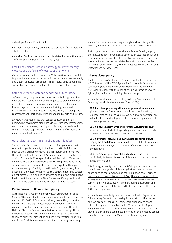- develop a Gender Equality Act
- establish a new agency dedicated to preventing family violence before it starts
- consider family violence and alcohol-related harms in the review of the *Liquor Control Reform Act 1998* (Vic).

#### Free from violence: Victoria's strategy to prevent family violence and all forms of violence against women

*Free from violence* sets out what the Victorian Government will do to prevent violence against women, in the settings where inequality and violent behaviour are shaped. The strategy aims to build the social structures, norms and practices that prevent violence.

#### Safe and strong: A Victorian gender equality strategy

*Safe and strong* is a plan for sustained action to bring about the changes in attitudes and behaviour required to prevent violence against women and to improve gender equality. It identifies key settings for action: education and training; work and economic security; health, safety and wellbeing; leadership and representation; sport and recreation; and media, arts and culture.

*Safe and strong* recognises that gender equality cannot be achieved by government alone. Individuals, families, communities, workplaces, businesses, sporting associations, the media and the arts all hold responsibility 'to build a culture of respect and equality for all individuals'.1

#### Other Victorian Government policies and initiatives

The Victorian Government has a number of programs and policies relevant to gender equality. In the health portfolio, initiatives such as the [Victorian Women's Health Program](https://www2.health.vic.gov.au/about/populations/womens-health) aim to improve the health and wellbeing of all Victorian women, especially those at risk of ill health. More specifically, policies such as [Victorian](https://www2.health.vic.gov.au/about/publications/policiesandguidelines/womens-sexual-health-key-priorities)  [women's sexual and reproductive health: Key priorities 2017–20](https://www2.health.vic.gov.au/about/publications/policiesandguidelines/womens-sexual-health-key-priorities) set out ways to address health issues that significantly impact on women and girls' ability to participate fully and equally in all aspects of their lives. While VicHealth's actions under this Strategy do not directly focus on health services or sexual and reproductive health, we fully endorse the State Government's approach, and align with the preventive elements relevant to our Strategy.

#### **Commonwealth Government policy**

At the national level, the Commonwealth Department of Social Services' [National plan to reduce violence against women and their](https://www.dss.gov.au/women/programs-services/reducing-violence/the-national-plan-to-reduce-violence-against-women-and-their-children-2010-2022)  [children 2010–2022](https://www.dss.gov.au/women/programs-services/reducing-violence/the-national-plan-to-reduce-violence-against-women-and-their-children-2010-2022) focuses on primary prevention, supporting women who have experienced violence, stopping men from committing violence, and building the evidence base. Under the National Plan, the Commonwealth Government develops threeyearly action plans. The [Third action plan 2016–2019](https://www.dss.gov.au/women/programs-services/reducing-violence/third-action-plan) has the following priorities: prevention and early intervention; Aboriginal and Torres Strait Islander women and their children; greater support

and choice; sexual violence; responding to children living with violence; and keeping perpetrators accountable across all systems.<sup>54</sup>

Statutory bodies such as the Workplace Gender Equality Agency and the Australian Human Rights Commission also lead policy and programs in gender equality. This Strategy aligns with their work in relevant areas, as well as related legislation such as the *Sex Discrimination Act 1984* (Cth)*, Fair Work Act 2009* (Cth) and *Disability Discrimination Act 1992* (Cth).

#### **International policy**

The United Nations Sustainable Development Goals came into force in 2016 as part of the [2030 Agenda for Sustainable Development](http://www.un.org/ga/search/view_doc.asp?symbol=A/RES/70/1&Lang=E). Seventeen goals were identified for Member States (including Australia) to reach, with the aims of ending all forms of poverty, fighting inequalities and tackling climate change.

VicHealth's work under this Strategy will help Australia meet the following Sustainable Development Goals (SDGs):

- **SDG 5: Achieve gender equality and empower all women and girls** – across the Goal's targets to address discrimination, violence, recognition and value of women's work, participation in leadership, and development of policies and legislation that promote gender equality.
- **SDG 3: Ensure healthy lives and promote wellbeing for all at all ages** – particularly its targets to prevent non-communicable diseases and promote mental health and wellbeing.
- **SDG 8: Promote inclusive and sustainable economic growth, employment and decent work for all** – as it relates to women's rates of employment, equal pay, and safe and secure working environments.
- **SDG 16: Promote just, peaceful and inclusive societies** particularly its targets to reduce violence and increase inclusion in decision-making.

This Strategy also aligns with Australia's important international commitments on gender, violence against women and human rights, such as the [Convention on the Elimination of All Forms of](http://www.un.org/womenwatch/daw/cedaw/cedaw.htm)  [Discrimination against Women \(CEDAW\)](http://www.un.org/womenwatch/daw/cedaw/cedaw.htm), [Nairobi Forward-Looking](http://www.un.org/womenwatch/confer/nfls/)  [Strategies for the Advancement of Women](http://www.un.org/womenwatch/confer/nfls/), [Declaration on the](http://www.un.org/documents/ga/res/48/a48r104.htm)  [Elimination of Violence against Women](http://www.un.org/documents/ga/res/48/a48r104.htm), [Beijing Declaration and](http://www.un.org/womenwatch/daw/beijing/platform/)  [Platform for Action](http://www.un.org/womenwatch/daw/beijing/platform/) and the [Vienna Declaration and Platform for](http://www.ohchr.org/EN/ProfessionalInterest/Pages/Vienna.aspx)  [Action,](http://www.ohchr.org/EN/ProfessionalInterest/Pages/Vienna.aspx) among others.

VicHealth has been designated as the [World Health Organization](https://www.vichealth.vic.gov.au/whocc)  [Collaborating Centre for Leadership in Health Promotion.](https://www.vichealth.vic.gov.au/whocc) In this role, we provide technical support, share our knowledge and help build capacity in countries in the Western Pacific Region and globally. As part of this Strategy, we will continue to provide technical advice and disseminate information on promoting gender equality to countries in the Western Pacific and beyond.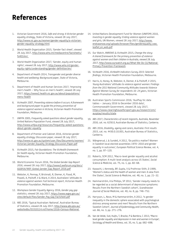## **References**

- 1. Victorian Government 2016, *Safe and strong: A Victorian gender equality strategy*, State of Victoria, viewed 28 July 2017, [http://www.vic.gov.au/women/gender-equality/a-victorian](http://www.vic.gov.au/women/gender-equality/a-victorian-gender-equality-strategy.html)[gender-equality-strategy.html](http://www.vic.gov.au/women/gender-equality/a-victorian-gender-equality-strategy.html)
- 2. World Health Organization 2015, 'Gender fact sheet', viewed 28 July 2017, [http://www.who.int/mediacentre/factsheets/](http://www.who.int/mediacentre/factsheets/fs403/en/) [fs403/en/](http://www.who.int/mediacentre/factsheets/fs403/en/)
- 3. World Health Organization 2017, 'Gender, equity and human rights', viewed 28 July 2017, [http://www.who.int/gender](http://www.who.int/gender-equity-rights/understanding/gender-definition/en/)[equity-rights/understanding/gender-definition/en/](http://www.who.int/gender-equity-rights/understanding/gender-definition/en/)
- 4. Department of Health 2014, *Transgender and gender diverse health and wellbeing: Background paper*, State of Victoria, Melbourne.
- 5. Department of Health and Human Services 2017, 'Improving men's health – Why focus on men's health', viewed 28 July 2017, [https://www2.health.vic.gov.au/about/populations/](https://www2.health.vic.gov.au/about/populations/mens-health) [mens-health](https://www2.health.vic.gov.au/about/populations/mens-health)
- 6. VicHealth 2007, *Preventing violence before it occurs: A framework and background paper to guide the primary prevention of violence against women in Victoria,* Victorian Health Promotion Foundation, Melbourne.
- 7. UNFPA 2005, *Frequently asked questions about gender equality*, United Nations Population Fund, viewed 28 July 2017, [http://www.unfpa.org/resources/frequently-asked-questions](http://www.unfpa.org/resources/frequently-asked-questions-about-gender-equality)[about-gender-equality](http://www.unfpa.org/resources/frequently-asked-questions-about-gender-equality)
- 8. Department of Premier and Cabinet 2016, *Victorian gender equality strategy: Discussion paper,* viewed 28 July 2017, [http://www.vic.gov.au/system/user\\_files/Documents/women/](http://www.vic.gov.au/system/user_files/Documents/women/Victorian_Gender_Equality_Strategy_Discussion_Paper.pdf) [Victorian\\_Gender\\_Equality\\_Strategy\\_Discussion\\_Paper.pdf](http://www.vic.gov.au/system/user_files/Documents/women/Victorian_Gender_Equality_Strategy_Discussion_Paper.pdf)
- 9. VicHealth 2015, *Fair foundations: The VicHealth framework for health equity,* Victorian Health Promotion Foundation, Melbourne.
- 10. World Economic Forum 2016, *The Global Gender Gap Report 2016*, viewed 28 July 2017, [http://www3.weforum.org/docs/](http://www3.weforum.org/docs/GGGR16/WEF_Global_Gender_Gap_Report_2016.pdf) [GGGR16/WEF\\_Global\\_Gender\\_Gap\\_Report\\_2016.pdf](http://www3.weforum.org/docs/GGGR16/WEF_Global_Gender_Gap_Report_2016.pdf)
- 11. Webster, K, Pennay, P, Bricknall, R, Diemer, K, Flood, M, Powell, A, Politoff, V & Ward, A 2014, *Australians' attitudes to violence against women: Full technical report*, Victorian Health Promotion Foundation, Melbourne.
- 12. Workplace Gender Equality Agency 2016, *Gender pay gap statistics*, viewed 28 July 2017, [https://www.wgea.gov.au/](https://www.wgea.gov.au/sites/default/files/Gender_Pay_Gap_Factsheet.pdf) [sites/default/files/Gender\\_Pay\\_Gap\\_Factsheet.pdf](https://www.wgea.gov.au/sites/default/files/Gender_Pay_Gap_Factsheet.pdf)
- 13. ABS 2016, 'Typical Australian: National', Australian Bureau of Statistics, viewed 28 July 2017, [http://www.abs.gov.au/](http://www.abs.gov.au/websitedbs/D3310114.nsf/home/2016+Census+National) [websitedbs/D3310114.nsf/home/2016+Census+National](http://www.abs.gov.au/websitedbs/D3310114.nsf/home/2016+Census+National)
- 14. United Nations Development Fund for Women (UNIFEM) 2010, *Investing in gender equality: Ending violence against women and girls,* UN Women, viewed 28 July 2017, [http://www.](http://www.endvawnow.org/uploads/browser/files/genderequality_vaw_leaflet_en_web.pdf) [endvawnow.org/uploads/browser/files/genderequality\\_vaw\\_](http://www.endvawnow.org/uploads/browser/files/genderequality_vaw_leaflet_en_web.pdf) [leaflet\\_en\\_web.pdf](http://www.endvawnow.org/uploads/browser/files/genderequality_vaw_leaflet_en_web.pdf)
- 15. Our Watch, ANROWS & VicHealth 2015, *Change the story: A shared framework for the primary prevention of violence against women and their children in Australia*, viewed 28 July 2017, [http://www.ourwatch.org.au/What-We-Do-\(1\)/National-](http://www.ourwatch.org.au/What-We-Do-(1)/National-Primary-Prevention-Framework)[Primary-Prevention-Framework](http://www.ourwatch.org.au/What-We-Do-(1)/National-Primary-Prevention-Framework)
- 16. VicHealth 2016, *VicHealth Indicators Survey 2015: Selected findings*, Victorian Health Promotion Foundation, Melbourne.
- 17. Harris, A, Honey, N, Webster, K, Diemer, K & Politoff, V 2015, *Young Australians' attitudes to violence against women: Findings from the 2013 National Community Attitudes towards Violence Against Women Survey for respondents 16–24 years*, Victorian Health Promotion Foundation, Melbourne.
- 18. Australian Sports Commission 2016, 'AusPlay Vic data tables – January 2016 to December 2016 data', Commonwealth Government, viewed 28 July 2017, [https://www.clearinghouseforsport.gov.au/research/smi/](https://www.clearinghouseforsport.gov.au/research/smi/ausplay/results/state) [ausplay/results/state](https://www.clearinghouseforsport.gov.au/research/smi/ausplay/results/state)
- 19. ABS 2017, *Characteristics of recent migrants, Australia, November 2016,* cat. no. 6250.0, Australian Bureau of Statistics, Canberra.
- 20. ABS 2016, *Disability, ageing and carers, Australia: First results 2015*, cat. no. 4430.0.10.001, Australian Bureau of Statistics, Canberra.
- 21. Wängnerud, L & Sundell, A 2012, 'Do politics matter? Women in Swedish local elected assemblies 1970–2010 and gender equality in outcomes', *European Political Science Review,* vol. 4, no. 1, pp. 97–120.
- 22. Roberts, SCM 2012, 'Macro-level gender equality and alcohol consumption: A multi-level analysis across US States', *Social Science & Medicine,* vol. 75, no. 1, pp. 60–68.
- 23. Kawachi, I, Kennedy, BP, Gupta, V & Prothrow-Stith, D 1999, 'Women's status and the health of women and men: A view from the States', *Social Science & Medicine*, vol. 48, no. 1, pp. 21–32.
- 24. Hammarström, A & Phillips, SP 2012, 'Gender inequity needs to be regarded as a social determinant of depressive symptoms: Results from the Northern Swedish cohort', *Scandinavian Journal of Social Medicine*, vol. 40, no. 8, pp. 746–752.
- 25. Harryson, L, Novo, M & Hammarström, A 2012, 'Is gender inequality in the domestic sphere associated with psychological distress among women and men? Results from the Northern Swedish Cohort', *Journal of Epidemiology and Community Health*, vol. 66, no. 3, pp. 271–276.
- 26. Van de Velde, Svd, Huijts, T, Bracke, P & Bambra, C 2013, 'Macrolevel gender equality and depression in men and women in Europe'*, Sociology of Health and Illness,* vol. 35, no. 5, pp. 682–698.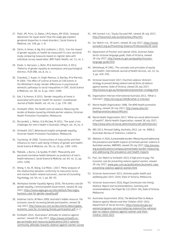- 27. Platt, JM, Prins, SJ, Bates, LM & Keyes, KM 2016, 'Unequal depression for equal work? How the wage gap explains gendered disparities in mood disorders', *Social Science & Medicine,* vol. 149, pp. 1–8.
- 28. Sörlin, A, Hman, A, Ng, N & Lindholm, L 2012, 'Can the impact of gender equality on health be measured? A cross-sectional study comparing measures based on register data with individual survey-based data', *BMC Public Health*, vol. 12, no. 1.
- 29. Elwér, S, Harryson, L, Bolin, M & Hammarström, A 2013, 'Patterns of gender equality at workplaces and psychological distress', *PLOS ONE,* vol**.** 8, no. 1.
- 30. Chandola, T, Kuper, H, Singh-Manoux, A, Bartley, M & Marmot, M 2004, 'The effect of control at home on CHD events in the Whitehall II study: Gender differences in psychosocial domestic pathways to social inequalities in CHD', *Social Science & Medicine,* vol. 58, no. 8, pp. 1501–1509.
- 31. Eek, F & Axmon, A 2015, 'Gender inequality at home is associated with poorer health for women', *Scandinavian Journal of Public Health*, vol. 43, no. 2, pp. 176–182.
- 32. VicHealth 2004, *The health costs of violence: Measuring the burden of disease caused by intimate partner violence,* Victorian Health Promotion Foundation, Melbourne.
- 33. Ricciardelli, L, Mellor, D & McCabe, M 2012, 'The quiet crisis: Challenges for men's health in Australia', *InPsych*, vol. 34, no. 4.
- 34. VicHealth 2017, *Behavioural insights and gender equality*, Victorian Health Promotion Foundation, Melbourne.
- 35. Courtenay, W 2000, 'Constructions of masculinity and their influence on men's well-being: A theory of gender and health', *Social Science & Medicine,* vol. 50, no. 10, pp. 1385–1401.
- 36. Mahalik, J, Burns, S & Syzdek, M 2007, 'Masculinity and perceived normative health behaviors as predictors of men's health behaviors', *Social Science & Medicine,* vol. 64, no. 11, pp. 2201–2209.
- 37. Wong, Y, Ho, M, Wang, S & Miller, I 2017, 'Meta-analyses of the relationship between conformity to masculine norms and mental health-related outcomes', *Journal of Counseling Psychology,* vol. 64, no. 1, pp. 80–93.
- 38. Workplace Gender Equality Agency 2016, *The business case for gender equality*, Commonwealth Government, viewed 28 July 2017, [https://www.wgea.gov.au/sites/default/files/wgea](https://www.wgea.gov.au/sites/default/files/wgea-business-case-for-gender-equality.pdf)[business-case-for-gender-equality.pdf](https://www.wgea.gov.au/sites/default/files/wgea-business-case-for-gender-equality.pdf)
- 39. Goldman Sachs JB Were 2009, *Australia's hidden resource: The economic case for increasing female participation*, viewed 28 July 2017, [http://www.asx.com.au/documents/about/gsjbw\\_](http://www.asx.com.au/documents/about/gsjbw_economic_case_for_increasing_female_participation.pdf) [economic\\_case\\_for\\_increasing\\_female\\_participation.pdf,](http://www.asx.com.au/documents/about/gsjbw_economic_case_for_increasing_female_participation.pdf) p. 2.
- 40. VicHealth 2014, 'Australians' attitudes to violence against women', viewed 28 July 2017, [https://www.vichealth.vic.](https://www.vichealth.vic.gov.au/media-and-resources/publications/2013-national-community-attitudes-towards-violence-against-women-survey) [gov.au/media-and-resources/publications/2013-national](https://www.vichealth.vic.gov.au/media-and-resources/publications/2013-national-community-attitudes-towards-violence-against-women-survey)[community-attitudes-towards-violence-against-women-survey](https://www.vichealth.vic.gov.au/media-and-resources/publications/2013-national-community-attitudes-towards-violence-against-women-survey)
- 41. HIA Connect n.d., 'Equity focused HIA', viewed 28 July 2017, [http://hiaconnect.edu.au/old/acheia\\_efhia.htm](http://hiaconnect.edu.au/old/acheia_efhia.htm)
- 42. Our Watch n.d., 'At work', viewed 28 July 2017, [https://www.](https://www.ourwatch.org.au/Preventing-Violence/Professionals/At-work) [ourwatch.org.au/Preventing-Violence/Professionals/At-work](https://www.ourwatch.org.au/Preventing-Violence/Professionals/At-work)
- 43. Department of Premier and Cabinet 2016, *Victorian Public Sector inclusive language guide,* State of Victoria, viewed 28 July 2017, [http://www.vic.gov.au/equality/inclusive](http://www.vic.gov.au/equality/inclusive-language-guide.html)[language-guide.html](http://www.vic.gov.au/equality/inclusive-language-guide.html)
- 44. Whitehead, M 1992, 'The concepts and principles of equity and health', *International Journal of Health Services*, vol. 22, no. 3, pp. 429–445.
- 45. Victorian Government 2017, *Free from violence: Victoria's strategy to prevent family violence and all forms of violence against women,* State of Victoria, viewed 28 July 2017, <http://www.vic.gov.au/familyviolence/prevention-strategy.html>
- 46. Organisation Intersex International Australia 2013, 'What is intersex?',<https://oii.org.au/18106/what-is-intersex/>
- 47. World Health Organization 1998, *The WHO health promotion glossary*, viewed 28 July 2017, [http://www.who.int/](http://www.who.int/healthpromotion/about/HPG/en/) [healthpromotion/about/HPG/en/](http://www.who.int/healthpromotion/about/HPG/en/)
- 48. World Health Organization 2017, 'What are social determinants of health?', World Health Organization, viewed 28 July 2017, [http://www.who.int/social\\_determinants/sdh\\_definition/en/](http://www.who.int/social_determinants/sdh_definition/en/)
- 49. ABS 2013, *Personal Safety, Australia, 2012,* cat. no. 4906.0, Australian Bureau of Statistics, Canberra.
- 50. Webster, K 2016, *A preventable burden: Measuring and addressing the prevalence and health impacts of intimate partner violence in Australian women*, ANROWS, viewed 28 July 2017, [http://anrows.](http://anrows.org.au/publications/compass/preventable-burden-measuring-and-addressing-the-prevalence-and-health-impacts) [org.au/publications/compass/preventable-burden-measuring](http://anrows.org.au/publications/compass/preventable-burden-measuring-and-addressing-the-prevalence-and-health-impacts)[and-addressing-the-prevalence-and-health-impacts](http://anrows.org.au/publications/compass/preventable-burden-measuring-and-addressing-the-prevalence-and-health-impacts)
- 51. PwC, Our Watch & VicHealth 2015, *A high price to pay: The economic case for preventing violence against women*, viewed 28 July 2017, [www.pwc.com.au/publications/economic-case](http://www.pwc.com.au/publications/economic-case-preventing-violence-against-women.html)[preventing-violence-against-women.html](http://www.pwc.com.au/publications/economic-case-preventing-violence-against-women.html)
- 52. Victorian Government 2015, *Victorian public health and wellbeing plan 2015–2019,* State of Victoria, Melbourne.
- 53. Victorian Government 2016, *Royal Commission into Family Violence: Report and recommendations. Summary and recommendations*, Parl Paper No 132 (2014–16), State of Victoria, Melbourne.
- 54. Australian Government 2010, *The National Plan to Reduce Violence against Women and their Children 2010–2022*, Department of Social Services, [https://www.dss.gov.au/](https://www.dss.gov.au/women/programs-services/reducing-violence/the-national-plan-to-reduce-violence-against-women-and-their-children-2010-2022) [women/programs-services/reducing-violence/the-national](https://www.dss.gov.au/women/programs-services/reducing-violence/the-national-plan-to-reduce-violence-against-women-and-their-children-2010-2022)[plan-to-reduce-violence-against-women-and-their](https://www.dss.gov.au/women/programs-services/reducing-violence/the-national-plan-to-reduce-violence-against-women-and-their-children-2010-2022)[children-2010-2022](https://www.dss.gov.au/women/programs-services/reducing-violence/the-national-plan-to-reduce-violence-against-women-and-their-children-2010-2022)